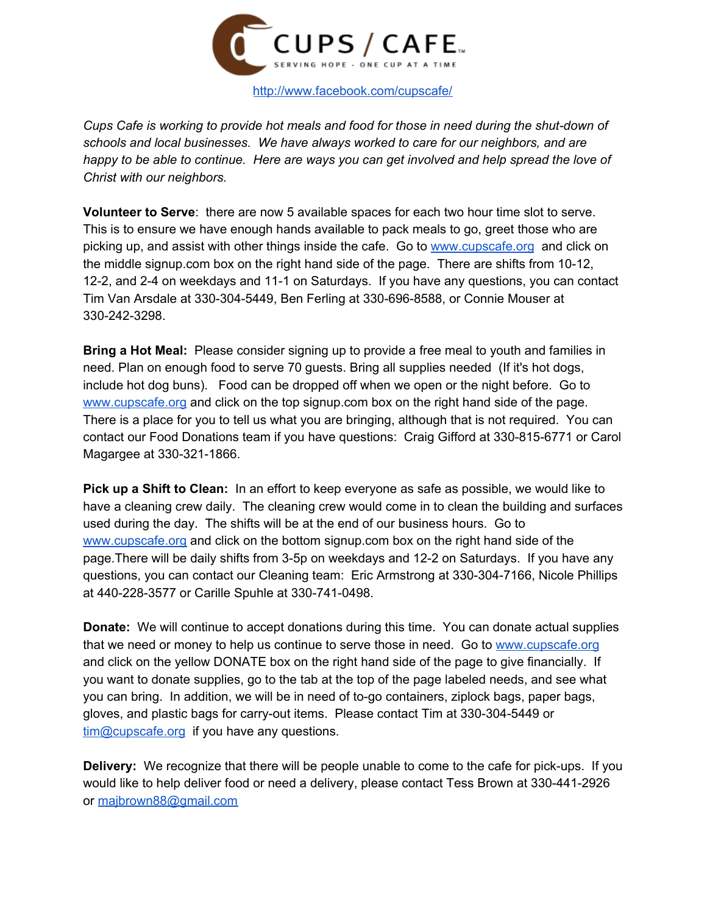

*Cups Cafe is working to provide hot meals and food for those in need during the shut-down of schools and local businesses. We have always worked to care for our neighbors, and are* happy to be able to continue. Here are ways you can get involved and help spread the love of *Christ with our neighbors.*

**Volunteer to Serve**: there are now 5 available spaces for each two hour time slot to serve. This is to ensure we have enough hands available to pack meals to go, greet those who are picking up, and assist with other things inside the cafe. Go to [www.cupscafe.org](http://www.cupscafe.org/) and click on the middle signup.com box on the right hand side of the page. There are shifts from 10-12, 12-2, and 2-4 on weekdays and 11-1 on Saturdays. If you have any questions, you can contact Tim Van Arsdale at 330-304-5449, Ben Ferling at 330-696-8588, or Connie Mouser at 330-242-3298.

**Bring a Hot Meal:** Please consider signing up to provide a free meal to youth and families in need. Plan on enough food to serve 70 guests. Bring all supplies needed (If it's hot dogs, include hot dog buns). Food can be dropped off when we open or the night before. Go to [www.cupscafe.org](http://www.cupscafe.org/) and click on the top signup.com box on the right hand side of the page. There is a place for you to tell us what you are bringing, although that is not required. You can contact our Food Donations team if you have questions: Craig Gifford at 330-815-6771 or Carol Magargee at 330-321-1866.

**Pick up a Shift to Clean:** In an effort to keep everyone as safe as possible, we would like to have a cleaning crew daily. The cleaning crew would come in to clean the building and surfaces used during the day. The shifts will be at the end of our business hours. Go to [www.cupscafe.org](http://www.cupscafe.org/) and click on the bottom signup.com box on the right hand side of the page.There will be daily shifts from 3-5p on weekdays and 12-2 on Saturdays. If you have any questions, you can contact our Cleaning team: Eric Armstrong at 330-304-7166, Nicole Phillips at 440-228-3577 or Carille Spuhle at 330-741-0498.

**Donate:** We will continue to accept donations during this time. You can donate actual supplies that we need or money to help us continue to serve those in need. Go to [www.cupscafe.org](http://www.cupscafe.org/) and click on the yellow DONATE box on the right hand side of the page to give financially. If you want to donate supplies, go to the tab at the top of the page labeled needs, and see what you can bring. In addition, we will be in need of to-go containers, ziplock bags, paper bags, gloves, and plastic bags for carry-out items. Please contact Tim at 330-304-5449 or [tim@cupscafe.org](mailto:tim@cupscafe.org) if you have any questions.

**Delivery:** We recognize that there will be people unable to come to the cafe for pick-ups. If you would like to help deliver food or need a delivery, please contact Tess Brown at 330-441-2926 or [majbrown88@gmail.com](mailto:majbrown88@gmail.com)